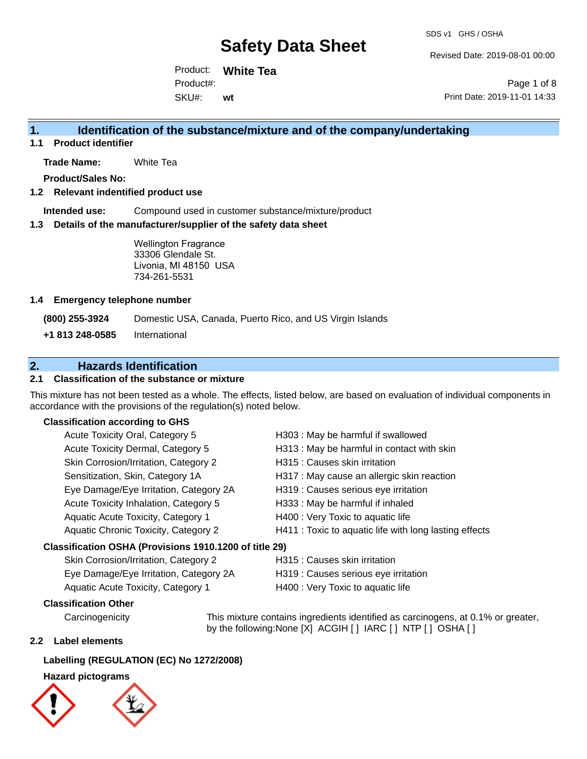Revised Date: 2019-08-01 00:00

Product: **White Tea** SKU#: Product#: **wt**

Page 1 of 8 Print Date: 2019-11-01 14:33

## **1. Identification of the substance/mixture and of the company/undertaking**

**1.1 Product identifier**

**Trade Name:** White Tea

**Product/Sales No:**

## **1.2 Relevant indentified product use**

**Intended use:** Compound used in customer substance/mixture/product

### **1.3 Details of the manufacturer/supplier of the safety data sheet**

Wellington Fragrance 33306 Glendale St. Livonia, MI 48150 USA 734-261-5531

### **1.4 Emergency telephone number**

**(800) 255-3924** Domestic USA, Canada, Puerto Rico, and US Virgin Islands

**+1 813 248-0585** International

## **2. Hazards Identification**

## **2.1 Classification of the substance or mixture**

This mixture has not been tested as a whole. The effects, listed below, are based on evaluation of individual components in accordance with the provisions of the regulation(s) noted below.

## **Classification according to GHS**

| Acute Toxicity Oral, Category 5                        | H303 : May be harmful if swallowed                     |
|--------------------------------------------------------|--------------------------------------------------------|
| Acute Toxicity Dermal, Category 5                      | H313 : May be harmful in contact with skin             |
| Skin Corrosion/Irritation, Category 2                  | H315 : Causes skin irritation                          |
| Sensitization, Skin, Category 1A                       | H317 : May cause an allergic skin reaction             |
| Eye Damage/Eye Irritation, Category 2A                 | H319 : Causes serious eye irritation                   |
| Acute Toxicity Inhalation, Category 5                  | H333: May be harmful if inhaled                        |
| Aquatic Acute Toxicity, Category 1                     | H400 : Very Toxic to aquatic life                      |
| Aquatic Chronic Toxicity, Category 2                   | H411 : Toxic to aquatic life with long lasting effects |
| Classification OSHA (Provisions 1910.1200 of title 29) |                                                        |
|                                                        |                                                        |

## Skin Corrosion/Irritation, Category 2 **H315** : Causes skin irritation

| Eye Damage/Eye Irritation, Category 2A | H319 : Causes serious eye irritation |
|----------------------------------------|--------------------------------------|
| Aquatic Acute Toxicity, Category 1     | H400 : Very Toxic to aquatic life    |

## **Classification Other**

Carcinogenicity This mixture contains ingredients identified as carcinogens, at 0.1% or greater, by the following:None [X] ACGIH [ ] IARC [ ] NTP [ ] OSHA [ ]

## **2.2 Label elements**

## **Labelling (REGULATION (EC) No 1272/2008)**

## **Hazard pictograms**



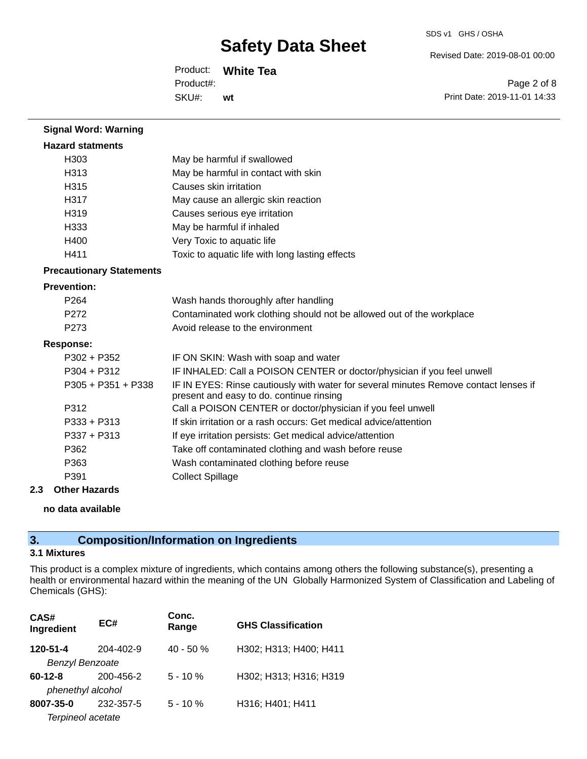Revised Date: 2019-08-01 00:00

Product: **White Tea** SKU#: Product#: **wt**

Page 2 of 8 Print Date: 2019-11-01 14:33

| <b>Signal Word: Warning</b>     |                                                                                                                                  |
|---------------------------------|----------------------------------------------------------------------------------------------------------------------------------|
| <b>Hazard statments</b>         |                                                                                                                                  |
| H303                            | May be harmful if swallowed                                                                                                      |
| H313                            | May be harmful in contact with skin                                                                                              |
| H <sub>315</sub>                | Causes skin irritation                                                                                                           |
| H317                            | May cause an allergic skin reaction                                                                                              |
| H319                            | Causes serious eye irritation                                                                                                    |
| H333                            | May be harmful if inhaled                                                                                                        |
| H400                            | Very Toxic to aquatic life                                                                                                       |
| H411                            | Toxic to aquatic life with long lasting effects                                                                                  |
| <b>Precautionary Statements</b> |                                                                                                                                  |
| <b>Prevention:</b>              |                                                                                                                                  |
| P <sub>264</sub>                | Wash hands thoroughly after handling                                                                                             |
| P272                            | Contaminated work clothing should not be allowed out of the workplace                                                            |
| P <sub>273</sub>                | Avoid release to the environment                                                                                                 |
| <b>Response:</b>                |                                                                                                                                  |
| $P302 + P352$                   | IF ON SKIN: Wash with soap and water                                                                                             |
| $P304 + P312$                   | IF INHALED: Call a POISON CENTER or doctor/physician if you feel unwell                                                          |
| $P305 + P351 + P338$            | IF IN EYES: Rinse cautiously with water for several minutes Remove contact lenses if<br>present and easy to do. continue rinsing |
| P312                            | Call a POISON CENTER or doctor/physician if you feel unwell                                                                      |
| P333 + P313                     | If skin irritation or a rash occurs: Get medical advice/attention                                                                |
| $P337 + P313$                   | If eye irritation persists: Get medical advice/attention                                                                         |
| P362                            | Take off contaminated clothing and wash before reuse                                                                             |
| P363                            | Wash contaminated clothing before reuse                                                                                          |
| P391                            | <b>Collect Spillage</b>                                                                                                          |

## **2.3 Other Hazards**

**no data available**

# **3. Composition/Information on Ingredients**

## **3.1 Mixtures**

This product is a complex mixture of ingredients, which contains among others the following substance(s), presenting a health or environmental hazard within the meaning of the UN Globally Harmonized System of Classification and Labeling of Chemicals (GHS):

| CAS#<br>Ingredient     | EC#       | Conc.<br>Range | <b>GHS Classification</b> |  |
|------------------------|-----------|----------------|---------------------------|--|
| 120-51-4               | 204-402-9 | $40 - 50%$     | H302; H313; H400; H411    |  |
| <b>Benzyl Benzoate</b> |           |                |                           |  |
| $60 - 12 - 8$          | 200-456-2 | $5 - 10%$      | H302; H313; H316; H319    |  |
| phenethyl alcohol      |           |                |                           |  |
| 8007-35-0              | 232-357-5 | $5 - 10%$      | H316; H401; H411          |  |
| Terpineol acetate      |           |                |                           |  |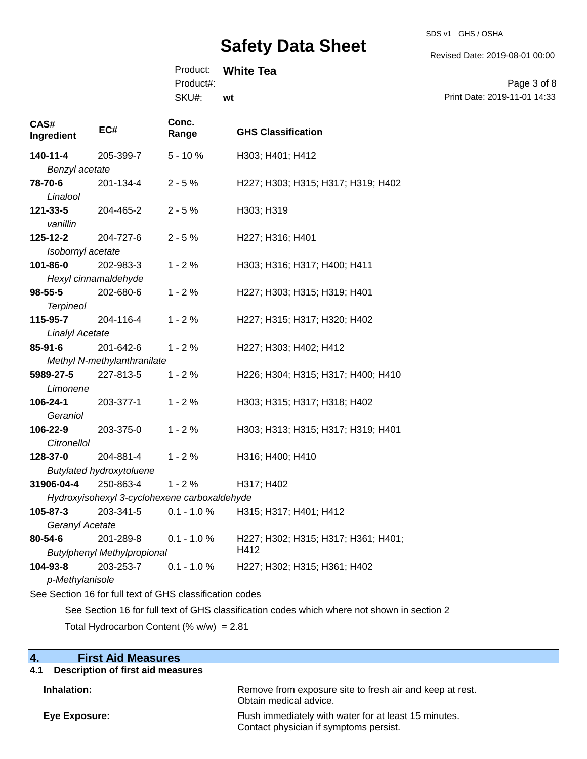#### SDS v1 GHS / OSHA

# **Safety Data Sheet**

Revised Date: 2019-08-01 00:00

Product: **White Tea**

Product#:

SKU#: **wt**

Page 3 of 8 Print Date: 2019-11-01 14:33

| CAS#<br>Ingredient     | EC#                                                      | Conc.<br>Range | <b>GHS Classification</b>           |
|------------------------|----------------------------------------------------------|----------------|-------------------------------------|
| 140-11-4               | 205-399-7                                                | $5 - 10%$      | H303; H401; H412                    |
| Benzyl acetate         |                                                          |                |                                     |
| 78-70-6                | 201-134-4                                                | $2 - 5%$       | H227; H303; H315; H317; H319; H402  |
| Linalool               |                                                          |                |                                     |
| 121-33-5<br>vanillin   | 204-465-2                                                | $2 - 5%$       | H303; H319                          |
| 125-12-2               | 204-727-6                                                | $2 - 5%$       | H227; H316; H401                    |
| Isobornyl acetate      |                                                          |                |                                     |
| 101-86-0               | 202-983-3                                                | $1 - 2%$       | H303; H316; H317; H400; H411        |
|                        | Hexyl cinnamaldehyde                                     |                |                                     |
| 98-55-5                | 202-680-6                                                | $1 - 2%$       | H227; H303; H315; H319; H401        |
| <b>Terpineol</b>       |                                                          |                |                                     |
| 115-95-7               | 204-116-4                                                | $1 - 2%$       | H227; H315; H317; H320; H402        |
| <b>Linalyl Acetate</b> |                                                          |                |                                     |
| $85 - 91 - 6$          | 201-642-6                                                | $1 - 2%$       | H227; H303; H402; H412              |
|                        | Methyl N-methylanthranilate                              |                |                                     |
| 5989-27-5              | 227-813-5                                                | $1 - 2%$       | H226; H304; H315; H317; H400; H410  |
| Limonene               |                                                          |                |                                     |
| 106-24-1               | 203-377-1                                                | $1 - 2%$       | H303; H315; H317; H318; H402        |
| Geraniol               |                                                          |                |                                     |
| 106-22-9               | 203-375-0                                                | $1 - 2%$       | H303; H313; H315; H317; H319; H401  |
| Citronellol            |                                                          |                |                                     |
| 128-37-0               | 204-881-4                                                | $1 - 2%$       | H316; H400; H410                    |
|                        | <b>Butylated hydroxytoluene</b>                          |                |                                     |
| 31906-04-4             | 250-863-4                                                | $1 - 2%$       | H317; H402                          |
|                        | Hydroxyisohexyl 3-cyclohexene carboxaldehyde             |                |                                     |
| 105-87-3               | 203-341-5                                                | $0.1 - 1.0 \%$ | H315; H317; H401; H412              |
| Geranyl Acetate        |                                                          |                |                                     |
| 80-54-6                | 201-289-8                                                | $0.1 - 1.0 %$  | H227; H302; H315; H317; H361; H401; |
|                        | <b>Butylphenyl Methylpropional</b>                       |                | H412                                |
| 104-93-8               | 203-253-7                                                | $0.1 - 1.0 %$  | H227; H302; H315; H361; H402        |
| p-Methylanisole        |                                                          |                |                                     |
|                        | See Section 16 for full text of GHS classification codes |                |                                     |
|                        |                                                          |                |                                     |

See Section 16 for full text of GHS classification codes which where not shown in section 2

Total Hydrocarbon Content  $(\% w/w) = 2.81$ 

| 4.<br><b>First Aid Measures</b>          |                                                                                                 |
|------------------------------------------|-------------------------------------------------------------------------------------------------|
| Description of first aid measures<br>4.1 |                                                                                                 |
| Inhalation:                              | Remove from exposure site to fresh air and keep at rest.<br>Obtain medical advice.              |
| Eye Exposure:                            | Flush immediately with water for at least 15 minutes.<br>Contact physician if symptoms persist. |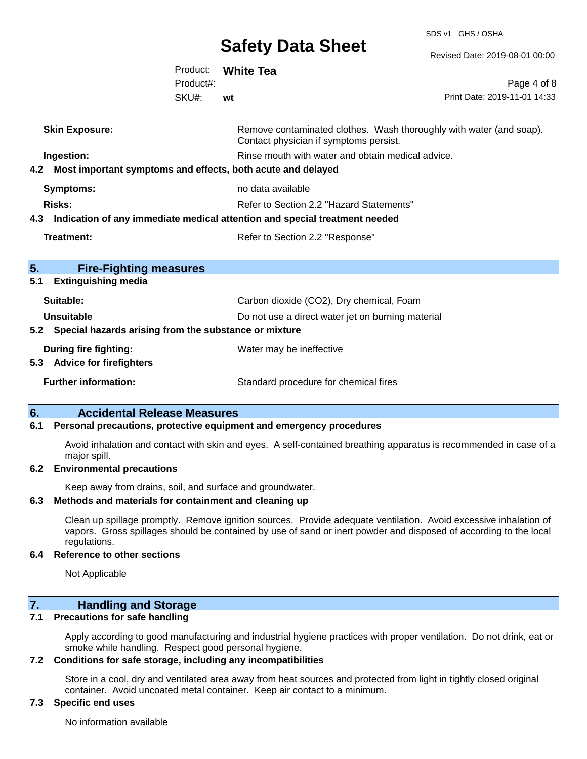SDS v1 GHS / OSHA

|  | Revised Date: 2019-08-01 00:00 |  |
|--|--------------------------------|--|
|  |                                |  |

|                                                           |           | Safety Data Sheet                                                                                             | Revised Date: 2019-08-01 00:00 |
|-----------------------------------------------------------|-----------|---------------------------------------------------------------------------------------------------------------|--------------------------------|
|                                                           | Product:  | <b>White Tea</b>                                                                                              |                                |
|                                                           | Product#: |                                                                                                               | Page 4 of 8                    |
|                                                           | SKU#:     | wt                                                                                                            | Print Date: 2019-11-01 14:33   |
| <b>Skin Exposure:</b>                                     |           | Remove contaminated clothes. Wash thoroughly with water (and soap).<br>Contact physician if symptoms persist. |                                |
| Ingestion:                                                |           | Rinse mouth with water and obtain medical advice.                                                             |                                |
| 4.2                                                       |           | Most important symptoms and effects, both acute and delayed                                                   |                                |
| <b>Symptoms:</b>                                          |           | no data available                                                                                             |                                |
| <b>Risks:</b>                                             |           | Refer to Section 2.2 "Hazard Statements"                                                                      |                                |
| 4.3                                                       |           | Indication of any immediate medical attention and special treatment needed                                    |                                |
| <b>Treatment:</b>                                         |           | Refer to Section 2.2 "Response"                                                                               |                                |
| 5.<br><b>Fire-Fighting measures</b>                       |           |                                                                                                               |                                |
| <b>Extinguishing media</b><br>5.1                         |           |                                                                                                               |                                |
| Suitable:                                                 |           | Carbon dioxide (CO2), Dry chemical, Foam                                                                      |                                |
| Unsuitable                                                |           | Do not use a direct water jet on burning material                                                             |                                |
| 5.2 Special hazards arising from the substance or mixture |           |                                                                                                               |                                |
| During fire fighting:                                     |           | Water may be ineffective                                                                                      |                                |
| 5.3 Advice for firefighters                               |           |                                                                                                               |                                |
| <b>Further information:</b>                               |           | Standard procedure for chemical fires                                                                         |                                |
| 6.<br><b>Accidental Release Measures</b>                  |           |                                                                                                               |                                |

#### **6.1 Personal precautions, protective equipment and emergency procedures**

Avoid inhalation and contact with skin and eyes. A self-contained breathing apparatus is recommended in case of a major spill.

#### **6.2 Environmental precautions**

Keep away from drains, soil, and surface and groundwater.

#### **6.3 Methods and materials for containment and cleaning up**

Clean up spillage promptly. Remove ignition sources. Provide adequate ventilation. Avoid excessive inhalation of vapors. Gross spillages should be contained by use of sand or inert powder and disposed of according to the local regulations.

#### **6.4 Reference to other sections**

Not Applicable

## **7. Handling and Storage**

## **7.1 Precautions for safe handling**

Apply according to good manufacturing and industrial hygiene practices with proper ventilation. Do not drink, eat or smoke while handling. Respect good personal hygiene.

## **7.2 Conditions for safe storage, including any incompatibilities**

Store in a cool, dry and ventilated area away from heat sources and protected from light in tightly closed original container. Avoid uncoated metal container. Keep air contact to a minimum.

## **7.3 Specific end uses**

No information available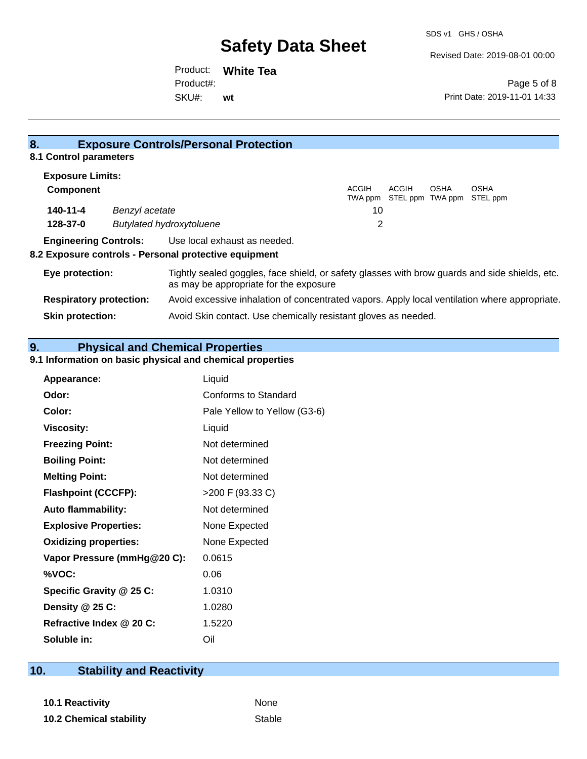Revised Date: 2019-08-01 00:00

Product: **White Tea** SKU#: Product#: **wt**

Page 5 of 8 Print Date: 2019-11-01 14:33

| 8.                             |                | <b>Exposure Controls/Personal Protection</b>                                                                                             |                  |       |             |                                          |
|--------------------------------|----------------|------------------------------------------------------------------------------------------------------------------------------------------|------------------|-------|-------------|------------------------------------------|
| 8.1 Control parameters         |                |                                                                                                                                          |                  |       |             |                                          |
| <b>Exposure Limits:</b>        |                |                                                                                                                                          |                  |       |             |                                          |
| <b>Component</b>               |                |                                                                                                                                          | ACGIH<br>TWA ppm | ACGIH | <b>OSHA</b> | <b>OSHA</b><br>STEL ppm TWA ppm STEL ppm |
| 140-11-4                       | Benzyl acetate |                                                                                                                                          | 10               |       |             |                                          |
| 128-37-0                       |                | <b>Butylated hydroxytoluene</b>                                                                                                          | 2                |       |             |                                          |
| <b>Engineering Controls:</b>   |                | Use local exhaust as needed.                                                                                                             |                  |       |             |                                          |
|                                |                | 8.2 Exposure controls - Personal protective equipment                                                                                    |                  |       |             |                                          |
| Eye protection:                |                | Tightly sealed goggles, face shield, or safety glasses with brow guards and side shields, etc.<br>as may be appropriate for the exposure |                  |       |             |                                          |
| <b>Respiratory protection:</b> |                | Avoid excessive inhalation of concentrated vapors. Apply local ventilation where appropriate.                                            |                  |       |             |                                          |
| <b>Skin protection:</b>        |                | Avoid Skin contact. Use chemically resistant gloves as needed.                                                                           |                  |       |             |                                          |

**9. Physical and Chemical Properties** 

## **9.1 Information on basic physical and chemical properties**

| Appearance:                  | Liquid                       |
|------------------------------|------------------------------|
| Odor:                        | Conforms to Standard         |
| Color:                       | Pale Yellow to Yellow (G3-6) |
| <b>Viscosity:</b>            | Liquid                       |
| <b>Freezing Point:</b>       | Not determined               |
| <b>Boiling Point:</b>        | Not determined               |
| <b>Melting Point:</b>        | Not determined               |
| <b>Flashpoint (CCCFP):</b>   | >200 F (93.33 C)             |
| <b>Auto flammability:</b>    | Not determined               |
| <b>Explosive Properties:</b> | None Expected                |
| <b>Oxidizing properties:</b> | None Expected                |
| Vapor Pressure (mmHg@20 C):  | 0.0615                       |
| %VOC:                        | 0.06                         |
| Specific Gravity @ 25 C:     | 1.0310                       |
| Density @ 25 C:              | 1.0280                       |
| Refractive Index @ 20 C:     | 1.5220                       |
| Soluble in:                  | Oil                          |

## **10. Stability and Reactivity**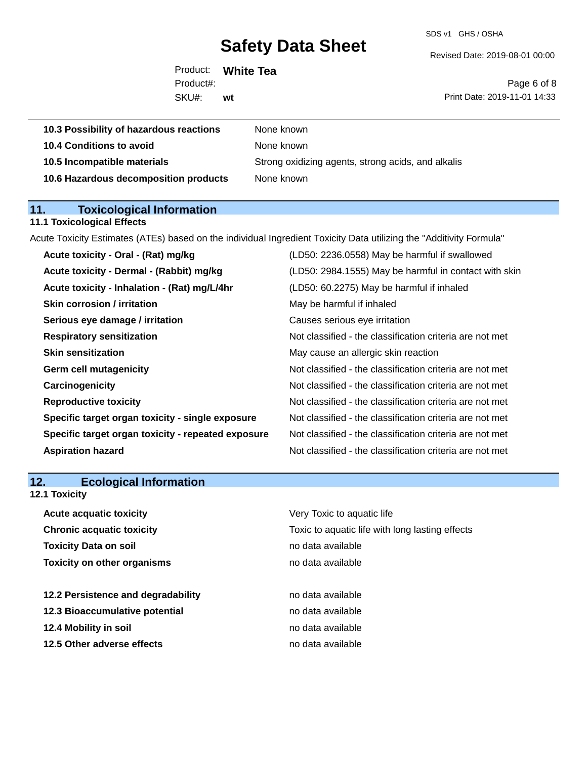SDS v1 GHS / OSHA

Revised Date: 2019-08-01 00:00

Product: **White Tea** SKU#: Product#: **wt**

Page 6 of 8 Print Date: 2019-11-01 14:33

| 10.3 Possibility of hazardous reactions | None known                                         |
|-----------------------------------------|----------------------------------------------------|
| 10.4 Conditions to avoid                | None known                                         |
| 10.5 Incompatible materials             | Strong oxidizing agents, strong acids, and alkalis |
| 10.6 Hazardous decomposition products   | None known                                         |

# **11. Toxicological Information**

## **11.1 Toxicological Effects**

Acute Toxicity Estimates (ATEs) based on the individual Ingredient Toxicity Data utilizing the "Additivity Formula"

| Acute toxicity - Dermal - (Rabbit) mg/kg<br>(LD50: 2984.1555) May be harmful in contact with skin<br>(LD50: 60.2275) May be harmful if inhaled<br>Acute toxicity - Inhalation - (Rat) mg/L/4hr<br><b>Skin corrosion / irritation</b><br>May be harmful if inhaled<br>Serious eye damage / irritation<br>Causes serious eye irritation<br>Not classified - the classification criteria are not met<br><b>Respiratory sensitization</b><br><b>Skin sensitization</b><br>May cause an allergic skin reaction<br>Not classified - the classification criteria are not met<br><b>Germ cell mutagenicity</b><br>Carcinogenicity<br>Not classified - the classification criteria are not met<br><b>Reproductive toxicity</b><br>Not classified - the classification criteria are not met<br>Not classified - the classification criteria are not met<br>Specific target organ toxicity - single exposure<br>Not classified - the classification criteria are not met<br>Specific target organ toxicity - repeated exposure<br>Not classified - the classification criteria are not met<br><b>Aspiration hazard</b> | Acute toxicity - Oral - (Rat) mg/kg | (LD50: 2236.0558) May be harmful if swallowed |
|-------------------------------------------------------------------------------------------------------------------------------------------------------------------------------------------------------------------------------------------------------------------------------------------------------------------------------------------------------------------------------------------------------------------------------------------------------------------------------------------------------------------------------------------------------------------------------------------------------------------------------------------------------------------------------------------------------------------------------------------------------------------------------------------------------------------------------------------------------------------------------------------------------------------------------------------------------------------------------------------------------------------------------------------------------------------------------------------------------------|-------------------------------------|-----------------------------------------------|
|                                                                                                                                                                                                                                                                                                                                                                                                                                                                                                                                                                                                                                                                                                                                                                                                                                                                                                                                                                                                                                                                                                             |                                     |                                               |
|                                                                                                                                                                                                                                                                                                                                                                                                                                                                                                                                                                                                                                                                                                                                                                                                                                                                                                                                                                                                                                                                                                             |                                     |                                               |
|                                                                                                                                                                                                                                                                                                                                                                                                                                                                                                                                                                                                                                                                                                                                                                                                                                                                                                                                                                                                                                                                                                             |                                     |                                               |
|                                                                                                                                                                                                                                                                                                                                                                                                                                                                                                                                                                                                                                                                                                                                                                                                                                                                                                                                                                                                                                                                                                             |                                     |                                               |
|                                                                                                                                                                                                                                                                                                                                                                                                                                                                                                                                                                                                                                                                                                                                                                                                                                                                                                                                                                                                                                                                                                             |                                     |                                               |
|                                                                                                                                                                                                                                                                                                                                                                                                                                                                                                                                                                                                                                                                                                                                                                                                                                                                                                                                                                                                                                                                                                             |                                     |                                               |
|                                                                                                                                                                                                                                                                                                                                                                                                                                                                                                                                                                                                                                                                                                                                                                                                                                                                                                                                                                                                                                                                                                             |                                     |                                               |
|                                                                                                                                                                                                                                                                                                                                                                                                                                                                                                                                                                                                                                                                                                                                                                                                                                                                                                                                                                                                                                                                                                             |                                     |                                               |
|                                                                                                                                                                                                                                                                                                                                                                                                                                                                                                                                                                                                                                                                                                                                                                                                                                                                                                                                                                                                                                                                                                             |                                     |                                               |
|                                                                                                                                                                                                                                                                                                                                                                                                                                                                                                                                                                                                                                                                                                                                                                                                                                                                                                                                                                                                                                                                                                             |                                     |                                               |
|                                                                                                                                                                                                                                                                                                                                                                                                                                                                                                                                                                                                                                                                                                                                                                                                                                                                                                                                                                                                                                                                                                             |                                     |                                               |
|                                                                                                                                                                                                                                                                                                                                                                                                                                                                                                                                                                                                                                                                                                                                                                                                                                                                                                                                                                                                                                                                                                             |                                     |                                               |

## **12. Ecological Information**

## **12.1 Toxicity**

| <b>Acute acquatic toxicity</b>     | Very Toxic to aquatic life                      |
|------------------------------------|-------------------------------------------------|
| <b>Chronic acquatic toxicity</b>   | Toxic to aquatic life with long lasting effects |
| <b>Toxicity Data on soil</b>       | no data available                               |
| <b>Toxicity on other organisms</b> | no data available                               |
|                                    |                                                 |
| 12.2 Persistence and degradability | no data available                               |
| 12.3 Bioaccumulative potential     | no data available                               |
| 12.4 Mobility in soil              | no data available                               |
| 12.5 Other adverse effects         | no data available                               |
|                                    |                                                 |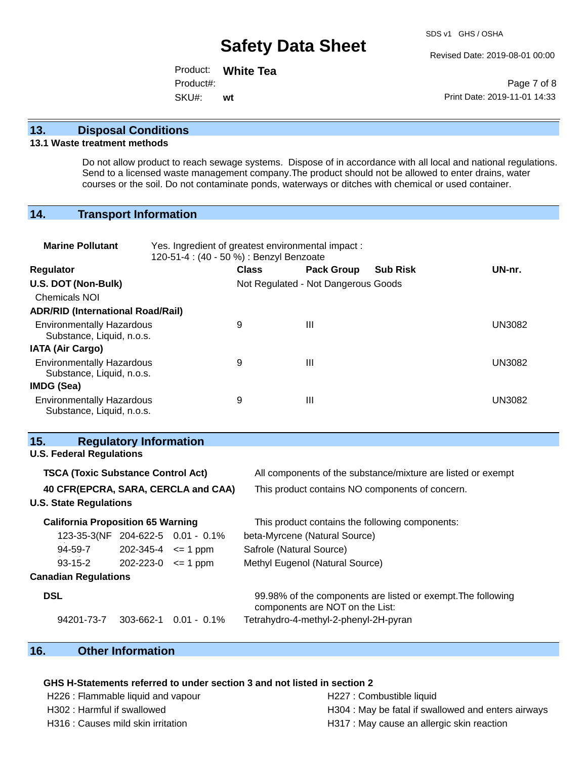Revised Date: 2019-08-01 00:00

Product: **White Tea** SKU#: Product#: **wt**

Page 7 of 8 Print Date: 2019-11-01 14:33

## **13. Disposal Conditions**

#### **13.1 Waste treatment methods**

Do not allow product to reach sewage systems. Dispose of in accordance with all local and national regulations. Send to a licensed waste management company.The product should not be allowed to enter drains, water courses or the soil. Do not contaminate ponds, waterways or ditches with chemical or used container.

## **14. Transport Information**

| <b>Marine Pollutant</b>                                       | Yes. Ingredient of greatest environmental impact:<br>120-51-4 : (40 - 50 %) : Benzyl Benzoate |              |                                     |                 |               |  |
|---------------------------------------------------------------|-----------------------------------------------------------------------------------------------|--------------|-------------------------------------|-----------------|---------------|--|
| <b>Regulator</b>                                              |                                                                                               | <b>Class</b> | <b>Pack Group</b>                   | <b>Sub Risk</b> | UN-nr.        |  |
| U.S. DOT (Non-Bulk)                                           |                                                                                               |              | Not Regulated - Not Dangerous Goods |                 |               |  |
| <b>Chemicals NOI</b>                                          |                                                                                               |              |                                     |                 |               |  |
| <b>ADR/RID (International Road/Rail)</b>                      |                                                                                               |              |                                     |                 |               |  |
| <b>Environmentally Hazardous</b><br>Substance, Liquid, n.o.s. |                                                                                               | 9            | $\mathbf{III}$                      |                 | <b>UN3082</b> |  |
| <b>IATA (Air Cargo)</b>                                       |                                                                                               |              |                                     |                 |               |  |
| <b>Environmentally Hazardous</b><br>Substance, Liquid, n.o.s. |                                                                                               | 9            | Ш                                   |                 | <b>UN3082</b> |  |
| <b>IMDG (Sea)</b>                                             |                                                                                               |              |                                     |                 |               |  |
| <b>Environmentally Hazardous</b><br>Substance, Liquid, n.o.s. |                                                                                               | 9            | Ш                                   |                 | <b>UN3082</b> |  |

### **15. Regulatory Information U.S. Federal Regulations**

| <b>TSCA (Toxic Substance Control Act)</b><br>40 CFR(EPCRA, SARA, CERCLA and CAA)<br><b>U.S. State Regulations</b> |                                   |           | All components of the substance/mixture are listed or exempt<br>This product contains NO components of concern. |                                                                                                 |  |
|-------------------------------------------------------------------------------------------------------------------|-----------------------------------|-----------|-----------------------------------------------------------------------------------------------------------------|-------------------------------------------------------------------------------------------------|--|
| <b>California Proposition 65 Warning</b>                                                                          |                                   |           | This product contains the following components:                                                                 |                                                                                                 |  |
|                                                                                                                   | 123-35-3(NF 204-622-5 0.01 - 0.1% |           |                                                                                                                 | beta-Myrcene (Natural Source)                                                                   |  |
|                                                                                                                   | 94-59-7                           | 202-345-4 | $\leq$ 1 ppm                                                                                                    | Safrole (Natural Source)                                                                        |  |
|                                                                                                                   | $93-15-2$                         | 202-223-0 | $\leq$ 1 ppm                                                                                                    | Methyl Eugenol (Natural Source)                                                                 |  |
|                                                                                                                   | <b>Canadian Regulations</b>       |           |                                                                                                                 |                                                                                                 |  |
|                                                                                                                   | <b>DSL</b>                        |           |                                                                                                                 | 99.98% of the components are listed or exempt. The following<br>components are NOT on the List: |  |
|                                                                                                                   | 94201-73-7                        | 303-662-1 | $0.01 - 0.1\%$                                                                                                  | Tetrahydro-4-methyl-2-phenyl-2H-pyran                                                           |  |

## **16. Other Information**

### **GHS H-Statements referred to under section 3 and not listed in section 2**

| H226 : Flammable liquid and vapour | H227 : Combustible liquid                           |
|------------------------------------|-----------------------------------------------------|
| H302 : Harmful if swallowed        | H304 : May be fatal if swallowed and enters airways |
| H316 : Causes mild skin irritation | H317 : May cause an allergic skin reaction          |